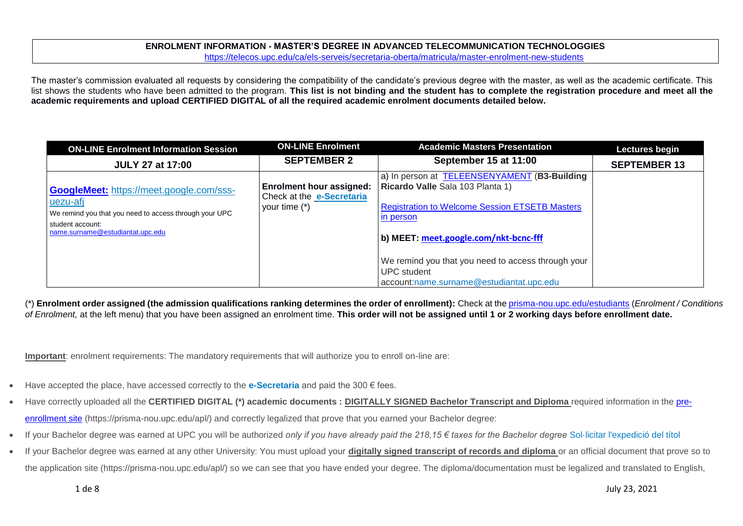#### **ENROLMENT INFORMATION - MASTER'S DEGREE IN ADVANCED TELECOMMUNICATION TECHNOLOGGIES** <https://telecos.upc.edu/ca/els-serveis/secretaria-oberta/matricula/master-enrolment-new-students>

The master's commission evaluated all requests by considering the compatibility of the candidate's previous degree with the master, as well as the academic certificate. This list shows the students who have been admitted to the program. **This list is not binding and the student has to complete the registration procedure and meet all the academic requirements and upload CERTIFIED DIGITAL of all the required academic enrolment documents detailed below.**

| <b>ON-LINE Enrolment Information Session</b>                                                                                                                                  | <b>ON-LINE Enrolment</b>                                                               | <b>Academic Masters Presentation</b>                                                                                                                                                                                                                         | <b>Lectures begin</b> |
|-------------------------------------------------------------------------------------------------------------------------------------------------------------------------------|----------------------------------------------------------------------------------------|--------------------------------------------------------------------------------------------------------------------------------------------------------------------------------------------------------------------------------------------------------------|-----------------------|
| <b>JULY 27 at 17:00</b>                                                                                                                                                       | <b>SEPTEMBER 2</b>                                                                     | September 15 at 11:00                                                                                                                                                                                                                                        | <b>SEPTEMBER 13</b>   |
| <b>GoogleMeet:</b> https://meet.google.com/sss-<br>uezu-afj<br>We remind you that you need to access through your UPC<br>student account:<br>name.surname@estudiantat.upc.edu | <b>Enrolment hour assigned:</b><br>Check at the <b>e-Secretaria</b><br>your time $(*)$ | a) In person at <b>TELEENSENYAMENT</b> (B3-Building<br>Ricardo Valle Sala 103 Planta 1)<br><b>Registration to Welcome Session ETSETB Masters</b><br>in person<br>b) MEET: meet.google.com/nkt-bcnc-fff<br>We remind you that you need to access through your |                       |
|                                                                                                                                                                               |                                                                                        | UPC student<br>account:name.surname@estudiantat.upc.edu                                                                                                                                                                                                      |                       |

(\*) **Enrolment order assigned (the admission qualifications ranking determines the order of enrollment):** Check at th[e prisma-nou.upc.edu/estudiants](http://prisma-nou.upc.edu/estudiants) (*Enrolment / Conditions of Enrolment,* at the left menu) that you have been assigned an enrolment time. **This order will not be assigned until 1 or 2 working days before enrollment date.**

**Important**: enrolment requirements: The mandatory requirements that will authorize you to enroll on-line are:

- Have accepted the place, have accessed correctly to the **[e-Secretaria](https://prisma-nou.upc.edu/apl/home_estudiants.php)** and paid the 300 € fees.
- Have correctly uploaded all the **CERTIFIED DIGITAL (\*) academic documents : DIGITALLY SIGNED Bachelor Transcript and Diploma** required information in the [pre](https://prisma-nou.upc.edu/apl/)[enrollment site](https://prisma-nou.upc.edu/apl/) (https://prisma-nou.upc.edu/apl/) and correctly legalized that prove that you earned your Bachelor degree:
- If your Bachelor degree was earned at UPC you will be authorized *only if you have already paid the 218,15 € taxes for the Bachelor degree* [Sol·licitar l'expedició del títol](https://telecos.upc.edu/ca/els-serveis/secretaria-oberta/certificats/titol-i-suplement-europeu-al-titol#section-1)
- If your Bachelor degree was earned at any other University: You must upload your **digitally signed transcript of records and diploma** or an official document that prove so to the application site (https://prisma-nou.upc.edu/apl/) so we can see that you have ended your degree. The diploma/documentation must be legalized and translated to English,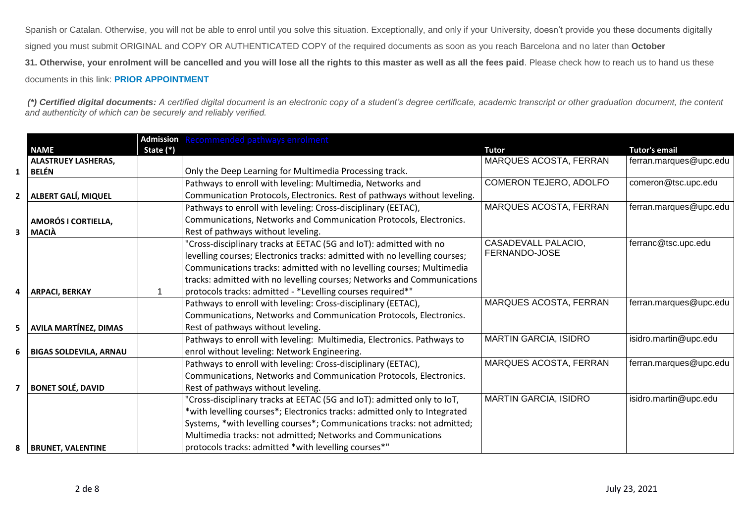Spanish or Catalan. Otherwise, you will not be able to enrol until you solve this situation. Exceptionally, and only if your University, doesn't provide you these documents digitally signed you must submit ORIGINAL and COPY OR AUTHENTICATED COPY of the required documents as soon as you reach Barcelona and no later than **October 31. Otherwise, your enrolment will be cancelled and you will lose all the rights to this master as well as all the fees paid**. Please check how to reach us to hand us these documents in this link: **[PRIOR APPOINTMENT](https://telecos.upc.edu/ca/els-serveis/secretaria-oberta/cita-previa)**

*(\*) Certified digital documents: A certified digital document is an electronic copy of a student's degree certificate, academic transcript or other graduation document, the content and authenticity of which can be securely and reliably verified.*

|                |                               |           | Admission Recommended pathways enrolment                                   |                              |                        |
|----------------|-------------------------------|-----------|----------------------------------------------------------------------------|------------------------------|------------------------|
|                | <b>NAME</b>                   | State (*) |                                                                            | <b>Tutor</b>                 | <b>Tutor's email</b>   |
|                | <b>ALASTRUEY LASHERAS,</b>    |           |                                                                            | MARQUES ACOSTA, FERRAN       | ferran.marques@upc.edu |
| $\mathbf{1}$   | <b>BELÉN</b>                  |           | Only the Deep Learning for Multimedia Processing track.                    |                              |                        |
|                |                               |           | Pathways to enroll with leveling: Multimedia, Networks and                 | COMERON TEJERO, ADOLFO       | comeron@tsc.upc.edu    |
| $\mathbf{z}$   | ALBERT GALÍ, MIQUEL           |           | Communication Protocols, Electronics. Rest of pathways without leveling.   |                              |                        |
|                |                               |           | Pathways to enroll with leveling: Cross-disciplinary (EETAC),              | MARQUES ACOSTA, FERRAN       | ferran.marques@upc.edu |
|                | AMORÓS I CORTIELLA,           |           | Communications, Networks and Communication Protocols, Electronics.         |                              |                        |
| 3              | <b>MACIÀ</b>                  |           | Rest of pathways without leveling.                                         |                              |                        |
|                |                               |           | "Cross-disciplinary tracks at EETAC (5G and IoT): admitted with no         | CASADEVALL PALACIO,          | ferranc@tsc.upc.edu    |
|                |                               |           | levelling courses; Electronics tracks: admitted with no levelling courses; | FERNANDO-JOSE                |                        |
|                |                               |           | Communications tracks: admitted with no levelling courses; Multimedia      |                              |                        |
|                |                               |           | tracks: admitted with no levelling courses; Networks and Communications    |                              |                        |
| 4              | <b>ARPACI, BERKAY</b>         | 1         | protocols tracks: admitted - *Levelling courses required*"                 |                              |                        |
|                |                               |           | Pathways to enroll with leveling: Cross-disciplinary (EETAC),              | MARQUES ACOSTA, FERRAN       | ferran.marques@upc.edu |
|                |                               |           | Communications, Networks and Communication Protocols, Electronics.         |                              |                        |
| 5              | <b>AVILA MARTÍNEZ, DIMAS</b>  |           | Rest of pathways without leveling.                                         |                              |                        |
|                |                               |           | Pathways to enroll with leveling: Multimedia, Electronics. Pathways to     | <b>MARTIN GARCIA, ISIDRO</b> | isidro.martin@upc.edu  |
| 6              | <b>BIGAS SOLDEVILA, ARNAU</b> |           | enrol without leveling: Network Engineering.                               |                              |                        |
|                |                               |           | Pathways to enroll with leveling: Cross-disciplinary (EETAC),              | MARQUES ACOSTA, FERRAN       | ferran.marques@upc.edu |
|                |                               |           | Communications, Networks and Communication Protocols, Electronics.         |                              |                        |
| $\overline{7}$ | <b>BONET SOLÉ, DAVID</b>      |           | Rest of pathways without leveling.                                         |                              |                        |
|                |                               |           | "Cross-disciplinary tracks at EETAC (5G and IoT): admitted only to IoT,    | MARTIN GARCIA, ISIDRO        | isidro.martin@upc.edu  |
|                |                               |           | *with levelling courses*; Electronics tracks: admitted only to Integrated  |                              |                        |
|                |                               |           | Systems, *with levelling courses*; Communications tracks: not admitted;    |                              |                        |
|                |                               |           | Multimedia tracks: not admitted; Networks and Communications               |                              |                        |
| 8              | <b>BRUNET, VALENTINE</b>      |           | protocols tracks: admitted *with levelling courses*"                       |                              |                        |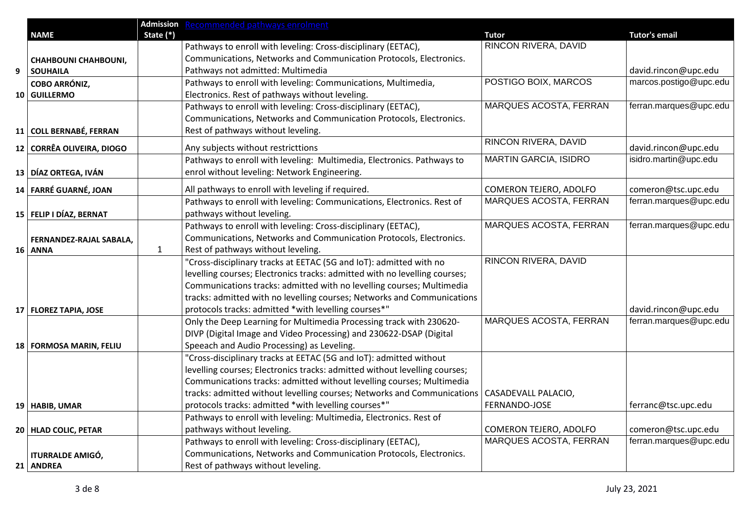|   |                             |              | Admission Recommended pathways enrolment                                   |                        |                        |
|---|-----------------------------|--------------|----------------------------------------------------------------------------|------------------------|------------------------|
|   | <b>NAME</b>                 | State (*)    |                                                                            | <b>Tutor</b>           | <b>Tutor's email</b>   |
|   |                             |              | Pathways to enroll with leveling: Cross-disciplinary (EETAC),              | RINCON RIVERA, DAVID   |                        |
|   | <b>CHAHBOUNI CHAHBOUNI,</b> |              | Communications, Networks and Communication Protocols, Electronics.         |                        |                        |
| 9 | <b>SOUHAILA</b>             |              | Pathways not admitted: Multimedia                                          |                        | david.rincon@upc.edu   |
|   | <b>COBO ARRÓNIZ,</b>        |              | Pathways to enroll with leveling: Communications, Multimedia,              | POSTIGO BOIX, MARCOS   | marcos.postigo@upc.edu |
|   | 10 GUILLERMO                |              | Electronics. Rest of pathways without leveling.                            |                        |                        |
|   |                             |              | Pathways to enroll with leveling: Cross-disciplinary (EETAC),              | MARQUES ACOSTA, FERRAN | ferran.marques@upc.edu |
|   |                             |              | Communications, Networks and Communication Protocols, Electronics.         |                        |                        |
|   | 11 COLL BERNABÉ, FERRAN     |              | Rest of pathways without leveling.                                         |                        |                        |
|   | 12 CORRÊA OLIVEIRA, DIOGO   |              | Any subjects without restricttions                                         | RINCON RIVERA, DAVID   | david.rincon@upc.edu   |
|   |                             |              | Pathways to enroll with leveling: Multimedia, Electronics. Pathways to     | MARTIN GARCIA, ISIDRO  | isidro.martin@upc.edu  |
|   | 13 DÍAZ ORTEGA, IVÁN        |              | enrol without leveling: Network Engineering.                               |                        |                        |
|   | 14 FARRÉ GUARNÉ, JOAN       |              | All pathways to enroll with leveling if required.                          | COMERON TEJERO, ADOLFO | comeron@tsc.upc.edu    |
|   |                             |              | Pathways to enroll with leveling: Communications, Electronics. Rest of     | MARQUES ACOSTA, FERRAN | ferran.marques@upc.edu |
|   | 15   FELIP I DÍAZ, BERNAT   |              | pathways without leveling.                                                 |                        |                        |
|   |                             |              | Pathways to enroll with leveling: Cross-disciplinary (EETAC),              | MARQUES ACOSTA, FERRAN | ferran.marques@upc.edu |
|   | FERNANDEZ-RAJAL SABALA,     |              | Communications, Networks and Communication Protocols, Electronics.         |                        |                        |
|   | 16 ANNA                     | $\mathbf{1}$ | Rest of pathways without leveling.                                         |                        |                        |
|   |                             |              | 'Cross-disciplinary tracks at EETAC (5G and IoT): admitted with no         | RINCON RIVERA, DAVID   |                        |
|   |                             |              | levelling courses; Electronics tracks: admitted with no levelling courses; |                        |                        |
|   |                             |              | Communications tracks: admitted with no levelling courses; Multimedia      |                        |                        |
|   |                             |              | tracks: admitted with no levelling courses; Networks and Communications    |                        |                        |
|   | 17   FLOREZ TAPIA, JOSE     |              | protocols tracks: admitted *with levelling courses*"                       |                        | david.rincon@upc.edu   |
|   |                             |              | Only the Deep Learning for Multimedia Processing track with 230620-        | MARQUES ACOSTA, FERRAN | ferran.marques@upc.edu |
|   |                             |              | DIVP (Digital Image and Video Processing) and 230622-DSAP (Digital         |                        |                        |
|   | 18   FORMOSA MARIN, FELIU   |              | Speeach and Audio Processing) as Leveling.                                 |                        |                        |
|   |                             |              | "Cross-disciplinary tracks at EETAC (5G and IoT): admitted without         |                        |                        |
|   |                             |              | levelling courses; Electronics tracks: admitted without levelling courses; |                        |                        |
|   |                             |              | Communications tracks: admitted without levelling courses; Multimedia      |                        |                        |
|   |                             |              | tracks: admitted without levelling courses; Networks and Communications    | CASADEVALL PALACIO,    |                        |
|   | 19 HABIB, UMAR              |              | protocols tracks: admitted *with levelling courses*"                       | FERNANDO-JOSE          | ferranc@tsc.upc.edu    |
|   |                             |              | Pathways to enroll with leveling: Multimedia, Electronics. Rest of         |                        |                        |
|   | 20   HLAD COLIC, PETAR      |              | pathways without leveling.                                                 | COMERON TEJERO, ADOLFO | comeron@tsc.upc.edu    |
|   |                             |              | Pathways to enroll with leveling: Cross-disciplinary (EETAC),              | MARQUES ACOSTA, FERRAN | ferran.marques@upc.edu |
|   | <b>ITURRALDE AMIGÓ,</b>     |              | Communications, Networks and Communication Protocols, Electronics.         |                        |                        |
|   | 21 ANDREA                   |              | Rest of pathways without leveling.                                         |                        |                        |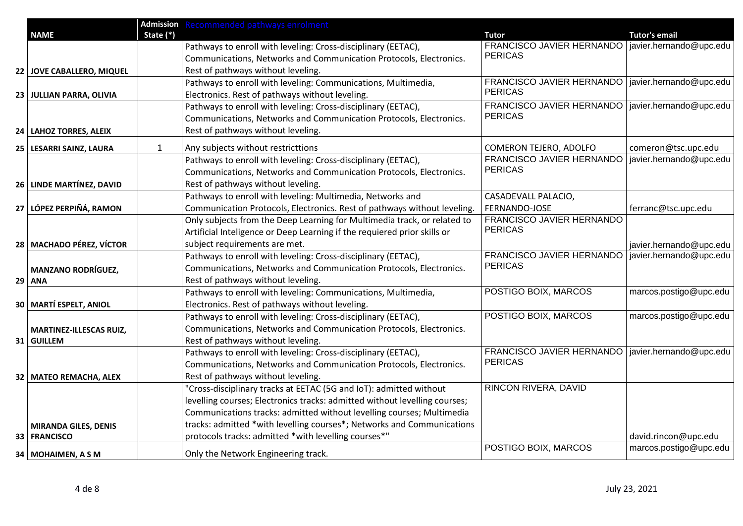|                                |              | <b>Admission</b> Recommended pathways enrolment                            |                                                                       |                         |
|--------------------------------|--------------|----------------------------------------------------------------------------|-----------------------------------------------------------------------|-------------------------|
| <b>NAME</b>                    | State (*)    |                                                                            | <b>Tutor</b>                                                          | <b>Tutor's email</b>    |
|                                |              | Pathways to enroll with leveling: Cross-disciplinary (EETAC),              | FRANCISCO JAVIER HERNANDO   javier.hernando@upc.edu<br><b>PERICAS</b> |                         |
|                                |              | Communications, Networks and Communication Protocols, Electronics.         |                                                                       |                         |
| 22 JOVE CABALLERO, MIQUEL      |              | Rest of pathways without leveling.                                         |                                                                       |                         |
|                                |              | Pathways to enroll with leveling: Communications, Multimedia,              | FRANCISCO JAVIER HERNANDO   javier.hernando@upc.edu<br><b>PERICAS</b> |                         |
| 23 JULLIAN PARRA, OLIVIA       |              | Electronics. Rest of pathways without leveling.                            |                                                                       |                         |
|                                |              | Pathways to enroll with leveling: Cross-disciplinary (EETAC),              | FRANCISCO JAVIER HERNANDO   javier.hernando@upc.edu<br><b>PERICAS</b> |                         |
|                                |              | Communications, Networks and Communication Protocols, Electronics.         |                                                                       |                         |
| 24   LAHOZ TORRES, ALEIX       |              | Rest of pathways without leveling.                                         |                                                                       |                         |
| 25   LESARRI SAINZ, LAURA      | $\mathbf{1}$ | Any subjects without restricttions                                         | COMERON TEJERO, ADOLFO                                                | comeron@tsc.upc.edu     |
|                                |              | Pathways to enroll with leveling: Cross-disciplinary (EETAC),              | FRANCISCO JAVIER HERNANDO                                             | javier.hernando@upc.edu |
|                                |              | Communications, Networks and Communication Protocols, Electronics.         | <b>PERICAS</b>                                                        |                         |
| 26 LINDE MARTÍNEZ, DAVID       |              | Rest of pathways without leveling.                                         |                                                                       |                         |
|                                |              | Pathways to enroll with leveling: Multimedia, Networks and                 | CASADEVALL PALACIO,                                                   |                         |
| 27   LÓPEZ PERPIÑÁ, RAMON      |              | Communication Protocols, Electronics. Rest of pathways without leveling.   | FERNANDO-JOSE                                                         | ferranc@tsc.upc.edu     |
|                                |              | Only subjects from the Deep Learning for Multimedia track, or related to   | FRANCISCO JAVIER HERNANDO                                             |                         |
|                                |              | Artificial Inteligence or Deep Learning if the requiered prior skills or   | <b>PERICAS</b>                                                        |                         |
| 28   MACHADO PÉREZ, VÍCTOR     |              | subject requirements are met.                                              |                                                                       | javier.hernando@upc.edu |
|                                |              | Pathways to enroll with leveling: Cross-disciplinary (EETAC),              | FRANCISCO JAVIER HERNANDO                                             | javier.hernando@upc.edu |
| <b>MANZANO RODRÍGUEZ,</b>      |              | Communications, Networks and Communication Protocols, Electronics.         | <b>PERICAS</b>                                                        |                         |
| 29 ANA                         |              | Rest of pathways without leveling.                                         |                                                                       |                         |
|                                |              | Pathways to enroll with leveling: Communications, Multimedia,              | POSTIGO BOIX, MARCOS                                                  | marcos.postigo@upc.edu  |
| 30   MARTÍ ESPELT, ANIOL       |              | Electronics. Rest of pathways without leveling.                            |                                                                       |                         |
|                                |              | Pathways to enroll with leveling: Cross-disciplinary (EETAC),              | POSTIGO BOIX, MARCOS                                                  | marcos.postigo@upc.edu  |
| <b>MARTINEZ-ILLESCAS RUIZ,</b> |              | Communications, Networks and Communication Protocols, Electronics.         |                                                                       |                         |
| 31 GUILLEM                     |              | Rest of pathways without leveling.                                         |                                                                       |                         |
|                                |              | Pathways to enroll with leveling: Cross-disciplinary (EETAC),              | FRANCISCO JAVIER HERNANDO   javier.hernando@upc.edu                   |                         |
|                                |              | Communications, Networks and Communication Protocols, Electronics.         | <b>PERICAS</b>                                                        |                         |
| 32   MATEO REMACHA, ALEX       |              | Rest of pathways without leveling.                                         |                                                                       |                         |
|                                |              | "Cross-disciplinary tracks at EETAC (5G and IoT): admitted without         | RINCON RIVERA, DAVID                                                  |                         |
|                                |              | levelling courses; Electronics tracks: admitted without levelling courses; |                                                                       |                         |
|                                |              | Communications tracks: admitted without levelling courses; Multimedia      |                                                                       |                         |
| <b>MIRANDA GILES, DENIS</b>    |              | tracks: admitted *with levelling courses*; Networks and Communications     |                                                                       |                         |
| 33   FRANCISCO                 |              | protocols tracks: admitted *with levelling courses*"                       |                                                                       | david.rincon@upc.edu    |
| 34   MOHAIMEN, A S M           |              | Only the Network Engineering track.                                        | POSTIGO BOIX, MARCOS                                                  | marcos.postigo@upc.edu  |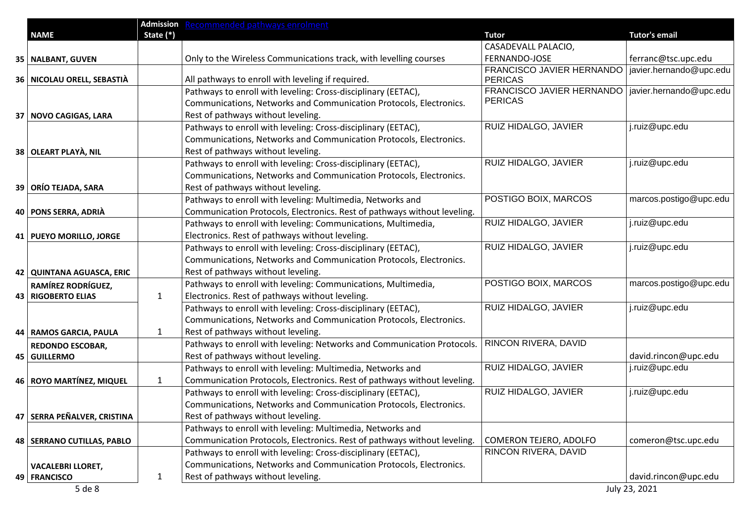|                               |              | Admission Recommended pathways enrolment                                 |                                                     |                         |
|-------------------------------|--------------|--------------------------------------------------------------------------|-----------------------------------------------------|-------------------------|
| <b>NAME</b>                   | State (*)    |                                                                          | <b>Tutor</b>                                        | <b>Tutor's email</b>    |
|                               |              |                                                                          | CASADEVALL PALACIO,                                 |                         |
| 35   NALBANT, GUVEN           |              | Only to the Wireless Communications track, with levelling courses        | FERNANDO-JOSE                                       | ferranc@tsc.upc.edu     |
| 36   NICOLAU ORELL, SEBASTIÀ  |              | All pathways to enroll with leveling if required.                        | FRANCISCO JAVIER HERNANDO<br><b>PERICAS</b>         | javier.hernando@upc.edu |
|                               |              | Pathways to enroll with leveling: Cross-disciplinary (EETAC),            | FRANCISCO JAVIER HERNANDO   javier.hernando@upc.edu |                         |
|                               |              | Communications, Networks and Communication Protocols, Electronics.       | <b>PERICAS</b>                                      |                         |
| 37 NOVO CAGIGAS, LARA         |              | Rest of pathways without leveling.                                       |                                                     |                         |
|                               |              | Pathways to enroll with leveling: Cross-disciplinary (EETAC),            | RUIZ HIDALGO, JAVIER                                | j.ruiz@upc.edu          |
|                               |              | Communications, Networks and Communication Protocols, Electronics.       |                                                     |                         |
| 38 OLEART PLAYA, NIL          |              | Rest of pathways without leveling.                                       |                                                     |                         |
|                               |              | Pathways to enroll with leveling: Cross-disciplinary (EETAC),            | RUIZ HIDALGO, JAVIER                                | j.ruiz@upc.edu          |
|                               |              | Communications, Networks and Communication Protocols, Electronics.       |                                                     |                         |
| 39   ORÍO TEJADA, SARA        |              | Rest of pathways without leveling.                                       |                                                     |                         |
|                               |              | Pathways to enroll with leveling: Multimedia, Networks and               | POSTIGO BOIX, MARCOS                                | marcos.postigo@upc.edu  |
| 40   PONS SERRA, ADRIÀ        |              | Communication Protocols, Electronics. Rest of pathways without leveling. |                                                     |                         |
|                               |              | Pathways to enroll with leveling: Communications, Multimedia,            | RUIZ HIDALGO, JAVIER                                | j.ruiz@upc.edu          |
| 41   PUEYO MORILLO, JORGE     |              | Electronics. Rest of pathways without leveling.                          |                                                     |                         |
|                               |              | Pathways to enroll with leveling: Cross-disciplinary (EETAC),            | RUIZ HIDALGO, JAVIER                                | j.ruiz@upc.edu          |
|                               |              | Communications, Networks and Communication Protocols, Electronics.       |                                                     |                         |
| 42   QUINTANA AGUASCA, ERIC   |              | Rest of pathways without leveling.                                       |                                                     |                         |
| RAMÍREZ RODRÍGUEZ,            |              | Pathways to enroll with leveling: Communications, Multimedia,            | POSTIGO BOIX, MARCOS                                | marcos.postigo@upc.edu  |
| 43 RIGOBERTO ELIAS            | $\mathbf{1}$ | Electronics. Rest of pathways without leveling.                          |                                                     |                         |
|                               |              | Pathways to enroll with leveling: Cross-disciplinary (EETAC),            | RUIZ HIDALGO, JAVIER                                | j.ruiz@upc.edu          |
|                               |              | Communications, Networks and Communication Protocols, Electronics.       |                                                     |                         |
| 44   RAMOS GARCIA, PAULA      | $\mathbf{1}$ | Rest of pathways without leveling.                                       |                                                     |                         |
| <b>REDONDO ESCOBAR,</b>       |              | Pathways to enroll with leveling: Networks and Communication Protocols.  | RINCON RIVERA, DAVID                                |                         |
| 45 GUILLERMO                  |              | Rest of pathways without leveling.                                       |                                                     | david.rincon@upc.edu    |
|                               |              | Pathways to enroll with leveling: Multimedia, Networks and               | RUIZ HIDALGO, JAVIER                                | j.ruiz@upc.edu          |
| 46 ROYO MARTÍNEZ, MIQUEL      | $\mathbf{1}$ | Communication Protocols, Electronics. Rest of pathways without leveling. |                                                     |                         |
|                               |              | Pathways to enroll with leveling: Cross-disciplinary (EETAC),            | RUIZ HIDALGO, JAVIER                                | j.ruiz@upc.edu          |
|                               |              | Communications, Networks and Communication Protocols, Electronics.       |                                                     |                         |
| 47   SERRA PEÑALVER, CRISTINA |              | Rest of pathways without leveling.                                       |                                                     |                         |
|                               |              | Pathways to enroll with leveling: Multimedia, Networks and               |                                                     |                         |
| 48   SERRANO CUTILLAS, PABLO  |              | Communication Protocols, Electronics. Rest of pathways without leveling. | COMERON TEJERO, ADOLFO                              | comeron@tsc.upc.edu     |
|                               |              | Pathways to enroll with leveling: Cross-disciplinary (EETAC),            | RINCON RIVERA, DAVID                                |                         |
| <b>VACALEBRI LLORET,</b>      |              | Communications, Networks and Communication Protocols, Electronics.       |                                                     |                         |
| 49   FRANCISCO                | 1            | Rest of pathways without leveling.                                       |                                                     | david.rincon@upc.edu    |
| 5 de 8                        |              |                                                                          |                                                     | July 23, 2021           |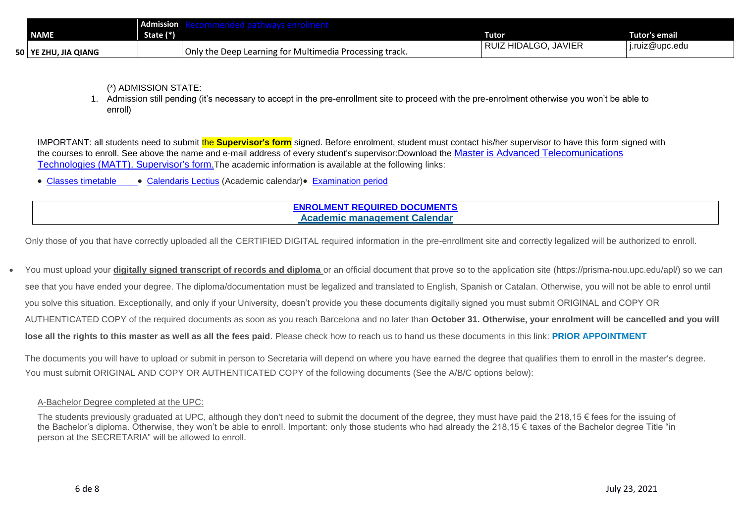|                        | Admission |                                                         |                                     |                |
|------------------------|-----------|---------------------------------------------------------|-------------------------------------|----------------|
| <b>NAME</b>            | State (*) |                                                         | Tutor                               | Tutor's email  |
| 50   YE ZHU, JIA QIANG |           | Only the Deep Learning for Multimedia Processing track. | HIDALGO.<br>, JAVIEF<br><b>RUIZ</b> | i.ruiz@upc.edu |

(\*) ADMISSION STATE:

1. Admission still pending (it's necessary to accept in the pre-enrollment site to proceed with the pre-enrolment otherwise you won't be able to enroll)

IMPORTANT: all students need to submit the **Supervisor's form** signed. Before enrolment, student must contact his/her supervisor to have this form signed with the courses to enroll. See above the name and e-mail address of every student's supervisor:Download the [Master is Advanced Telecomunications](https://telecos.upc.edu/ca/shared/secretaria-oberta/matt-supervisor-form.doc)  [Technologies \(MATT\). Supervisor's form.](https://telecos.upc.edu/ca/shared/secretaria-oberta/matt-supervisor-form.doc)The academic information is available at the following links:

[Classes timetable](https://telecos.upc.edu/ca/estudis/curs-actual/horaris-aules-i-calendaris/horaris-de-classe) [Calendaris Lectius](https://telecos.upc.edu/ca/estudis/curs-actual/calendari-lectiu) (Academic calendar) [Examination period](https://telecos.upc.edu/ca/estudis/curs-actual/horaris-aules-i-calendaris/calendari-dexamens) 

# **[ENROLMENT REQUIRED DOCUMENTS](file://///telemann/grups3/UTGCNTIC/Grups/etsetb-ugegim-suport/Acces_masters/2021-2022%201Q/Excel%20x%20CAM%20JULIOL%202021/MATT/(http:/etsetb.upc.edu/ca/els-serveis/secretaria-oberta/matricula/master-enrolment-new-students)) [Academic management Calendar](https://telecos.upc.edu/ca/els-serveis/secretaria-oberta/calendari-de-tramits-academics)**

Only those of you that have correctly uploaded all the CERTIFIED DIGITAL required information in the pre-enrollment site and correctly legalized will be authorized to enroll.

You must upload your **digitally signed transcript of records and diploma** or an official document that prove so to the application site (https://prisma-nou.upc.edu/apl/) so we can see that you have ended your degree. The diploma/documentation must be legalized and translated to English, Spanish or Catalan. Otherwise, you will not be able to enrol until you solve this situation. Exceptionally, and only if your University, doesn't provide you these documents digitally signed you must submit ORIGINAL and COPY OR AUTHENTICATED COPY of the required documents as soon as you reach Barcelona and no later than **October 31. Otherwise, your enrolment will be cancelled and you will lose all the rights to this master as well as all the fees paid**. Please check how to reach us to hand us these documents in this link: **[PRIOR APPOINTMENT](https://telecos.upc.edu/ca/els-serveis/secretaria-oberta/cita-previa)**

The documents you will have to upload or submit in person to Secretaria will depend on where you have earned the degree that qualifies them to enroll in the master's degree. You must submit ORIGINAL AND COPY OR AUTHENTICATED COPY of the following documents (See the A/B/C options below):

## A-Bachelor Degree completed at the UPC:

The students previously graduated at UPC, although they don't need to submit the document of the degree, they must have paid the 218,15  $\epsilon$  fees for the issuing of the Bachelor's diploma. Otherwise, they won't be able to enroll. Important: only those students who had already the 218,15 € taxes of the Bachelor degree Title "in person at the SECRETARIA" will be allowed to enroll.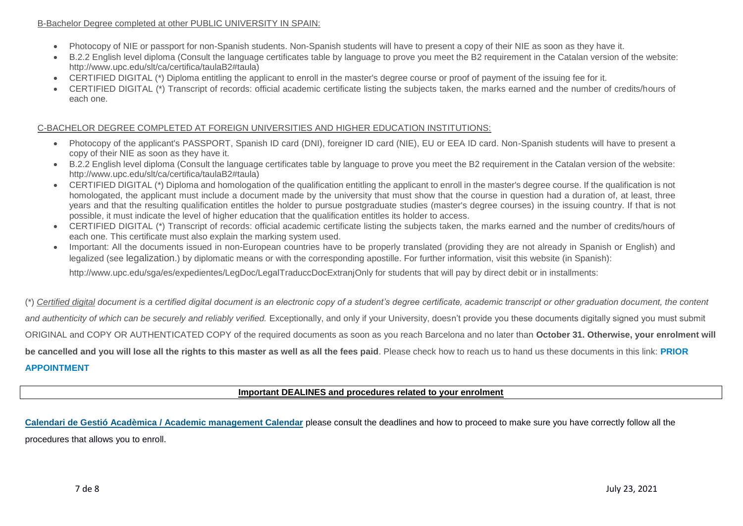### B-Bachelor Degree completed at other PUBLIC UNIVERSITY IN SPAIN:

- Photocopy of NIE or passport for non-Spanish students. Non-Spanish students will have to present a copy of their NIE as soon as they have it.
- B.2.2 English level diploma (Consult the language certificates table by language to prove you meet the B2 requirement in the Catalan version of the website: http://www.upc.edu/slt/ca/certifica/taulaB2#taula)
- CERTIFIED DIGITAL (\*) Diploma entitling the applicant to enroll in the master's degree course or proof of payment of the issuing fee for it.
- CERTIFIED DIGITAL (\*) Transcript of records: official academic certificate listing the subjects taken, the marks earned and the number of credits/hours of each one.

## C-BACHELOR DEGREE COMPLETED AT FOREIGN UNIVERSITIES AND HIGHER EDUCATION INSTITUTIONS:

- Photocopy of the applicant's PASSPORT, Spanish ID card (DNI), foreigner ID card (NIE), EU or EEA ID card. Non-Spanish students will have to present a copy of their NIE as soon as they have it.
- B.2.2 English level diploma (Consult the language certificates table by language to prove you meet the B2 requirement in the Catalan version of the website: http://www.upc.edu/slt/ca/certifica/taulaB2#taula)
- CERTIFIED DIGITAL (\*) Diploma and homologation of the qualification entitling the applicant to enroll in the master's degree course. If the qualification is not homologated, the applicant must include a document made by the university that must show that the course in question had a duration of, at least, three years and that the resulting qualification entitles the holder to pursue postgraduate studies (master's degree courses) in the issuing country. If that is not possible, it must indicate the level of higher education that the qualification entitles its holder to access.
- CERTIFIED DIGITAL (\*) Transcript of records: official academic certificate listing the subjects taken, the marks earned and the number of credits/hours of each one. This certificate must also explain the marking system used.
- Important: All the documents issued in non-European countries have to be properly translated (providing they are not already in Spanish or English) and legalized (see [legalization](https://translate.google.es/translate?sl=ca&tl=en&js=y&prev=_t&hl=es&ie=UTF-8&u=http%3A%2F%2Fwww.upc.edu%2Fsga%2Fca%2Fexpedient%2FLegalitzacioDocuments%2FLegalitzacioTraduccioDocumentsEstrangers&edit-text=).) by diplomatic means or with the corresponding apostille. For further information, visit this website (in Spanish):

[http://www.upc.edu/sga/es/expedientes/LegDoc/LegalTraduccDocExtranjO](http://www.upc.edu/sga/es/expedientes/LegDoc/LegalTraduccDocExtranj)nly for students that will pay by direct debit or in installments:

(\*) *Certified digital document is a certified digital document is an electronic copy of a student's degree certificate, academic transcript or other graduation document, the content and authenticity of which can be securely and reliably verified.* Exceptionally, and only if your University, doesn't provide you these documents digitally signed you must submit ORIGINAL and COPY OR AUTHENTICATED COPY of the required documents as soon as you reach Barcelona and no later than **October 31. Otherwise, your enrolment will be cancelled and you will lose all the rights to this master as well as all the fees paid**. Please check how to reach us to hand us these documents in this link: **[PRIOR](https://telecos.upc.edu/ca/els-serveis/secretaria-oberta/cita-previa)  [APPOINTMENT](https://telecos.upc.edu/ca/els-serveis/secretaria-oberta/cita-previa)**

### **Important DEALINES and procedures related to your enrolment**

**Calendari de Gestió Acadèmica [/ Academic management Calendar](https://telecos.upc.edu/ca/els-serveis/secretaria-oberta/calendari-de-tramits-academics)** please consult the deadlines and how to proceed to make sure you have correctly follow all the procedures that allows you to enroll.